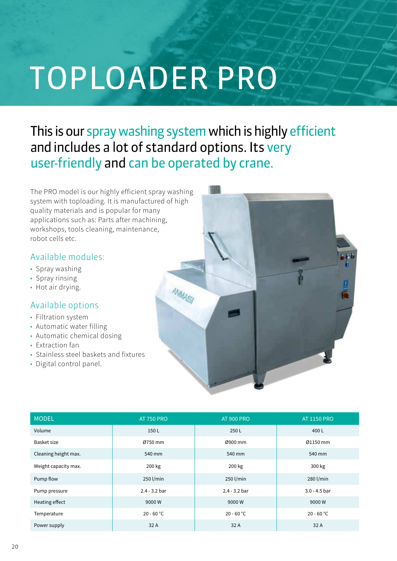# TOPLOADER PRO

# This is our spray washing system which is highly efficient and includes a lot of standard options. Its very user-friendly and can be operated by crane.

The PRO model is our highly efficient spray washing system with toploading. It is manufactured of high quality materials and is popular for many applications such as: Parts after machining, workshops, tools cleaning, maintenance, robot cells etc.

## Available modules:

- Spray washing
- Spray rinsing
- Hot air drying.

### Available options

- Filtration system
- Automatic water filling
- Automatic chemical dosing
- Extraction fan
- Stainless steel baskets and fixtures
- Digital control panel.



| <b>MODEL</b>         | <b>AT 750 PRO</b> | <b>AT 900 PRO</b> | <b>AT 1150 PRO</b> |
|----------------------|-------------------|-------------------|--------------------|
| Volume               | 150L              | 250L              | 400L               |
| Basket size          | Ø750 mm           | Ø900 mm           | Ø1150 mm           |
| Cleaning height max. | 540 mm            | 540 mm            | 540 mm             |
| Weight capacity max. | 200 kg            | 200 kg            | 300 kg             |
| Pump flow            | 250 l/min         | 250 l/min         | 280 l/min          |
| Pump pressure        | $2.4 - 3.2$ bar   | $2.4 - 3.2$ bar   | $3.0 - 4.5$ bar    |
| Heating effect       | 9000W             | 9000W             | 9000W              |
| Temperature          | $20 - 60 °C$      | $20 - 60 °C$      | $20 - 60 °C$       |
| Power supply         | 32 A              | 32 A              | 32 A               |